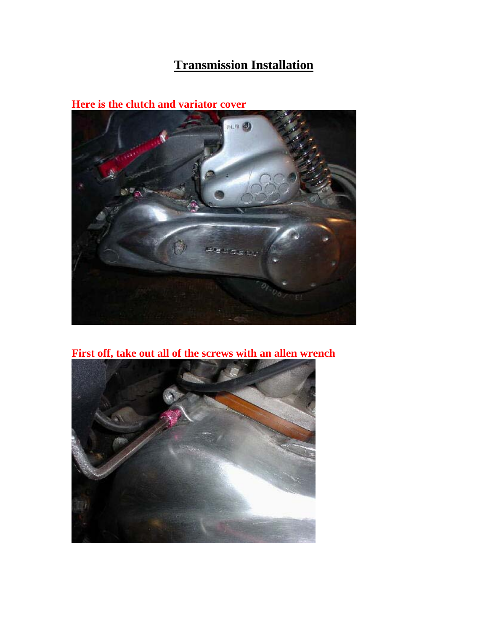## **Transmission Installation**

**Here is the clutch and variator cover** 



**First off, take out all of the screws with an allen wrench**

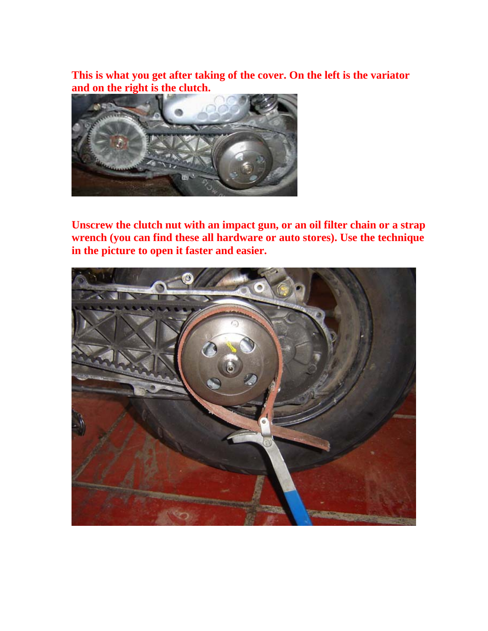**This is what you get after taking of the cover. On the left is the variator and on the right is the clutch.**



**Unscrew the clutch nut with an impact gun, or an oil filter chain or a strap wrench (you can find these all hardware or auto stores). Use the technique in the picture to open it faster and easier.**

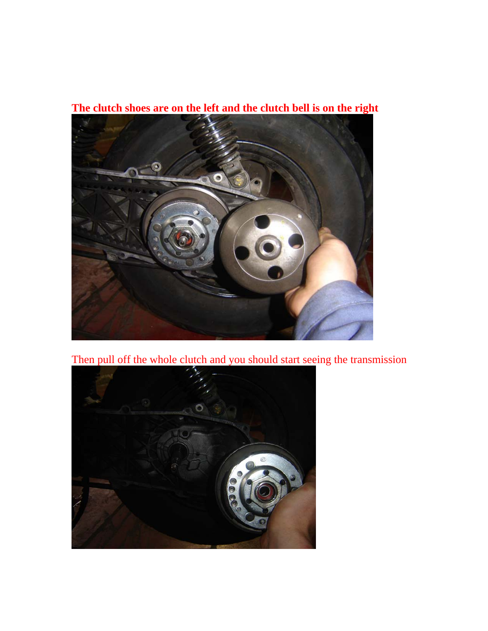

**The clutch shoes are on the left and the clutch bell is on the right**

Then pull off the whole clutch and you should start seeing the transmission

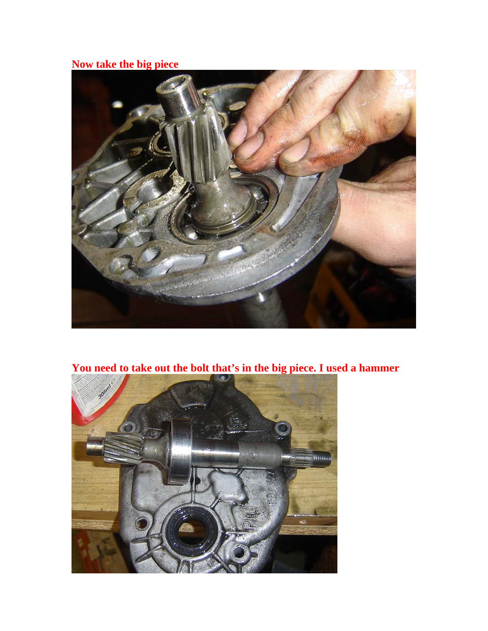## **Now take the big piece**



**You need to take out the bolt that's in the big piece. I used a hammer** 

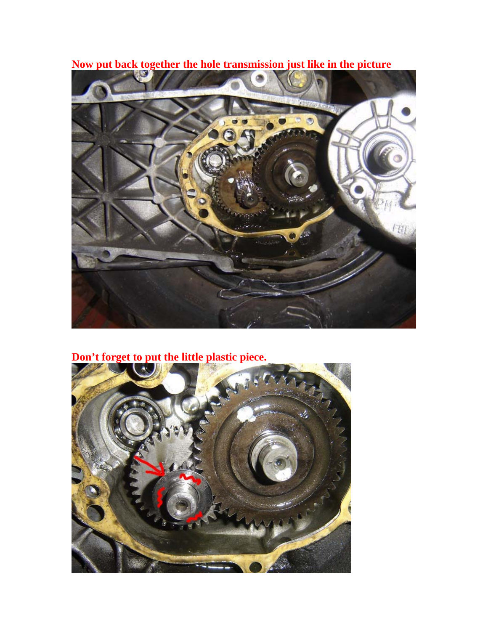**Now put back together the hole transmission just like in the picture** 



## **Don't forget to put the little plastic piece.**